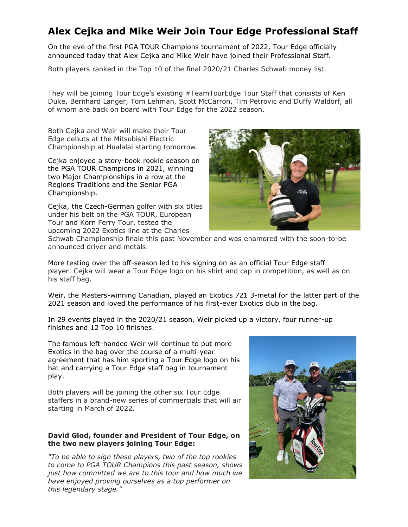## **Alex Cejka and Mike Weir Join Tour Edge Professional Staff**

On the eve of the first PGA TOUR Champions tournament of 2022, Tour Edge officially announced today that Alex Cejka and Mike Weir have joined their Professional Staff.

Both players ranked in the Top 10 of the final 2020/21 Charles Schwab money list.

They will be joining Tour Edge's existing #TeamTourEdge Tour Staff that consists of Ken Duke, Bernhard Langer, Tom Lehman, Scott McCarron, Tim Petrovic and Duffy Waldorf, all of whom are back on board with Tour Edge for the 2022 season.

Both Cejka and Weir will make their Tour Edge debuts at the Mitsubishi Electric Championship at Hualalai starting tomorrow.

Cejka enjoyed a story-book rookie season on the PGA TOUR Champions in 2021, winning two Major Championships in a row at the Regions Traditions and the Senior PGA Championship.

Cejka, the Czech-German golfer with six titles under his belt on the PGA TOUR, European Tour and Korn Ferry Tour, tested the upcoming 2022 Exotics line at the Charles



Schwab Championship finale this past November and was enamored with the soon-to-be announced driver and metals.

More testing over the off-season led to his signing on as an official Tour Edge staff player. Cejka will wear a Tour Edge logo on his shirt and cap in competition, as well as on his staff bag.

Weir, the Masters-winning Canadian, played an Exotics 721 3-metal for the latter part of the 2021 season and loved the performance of his first-ever Exotics club in the bag.

In 29 events played in the 2020/21 season, Weir picked up a victory, four runner-up finishes and 12 Top 10 finishes.

The famous left-handed Weir will continue to put more Exotics in the bag over the course of a multi-year agreement that has him sporting a Tour Edge logo on his hat and carrying a Tour Edge staff bag in tournament play.

Both players will be joining the other six Tour Edge staffers in a brand-new series of commercials that will air starting in March of 2022.

## **David Glod, founder and President of Tour Edge, on the two new players joining Tour Edge:**

*"To be able to sign these players, two of the top rookies to come to PGA TOUR Champions this past season, shows just how committed we are to this tour and how much we have enjoyed proving ourselves as a top performer on this legendary stage."*